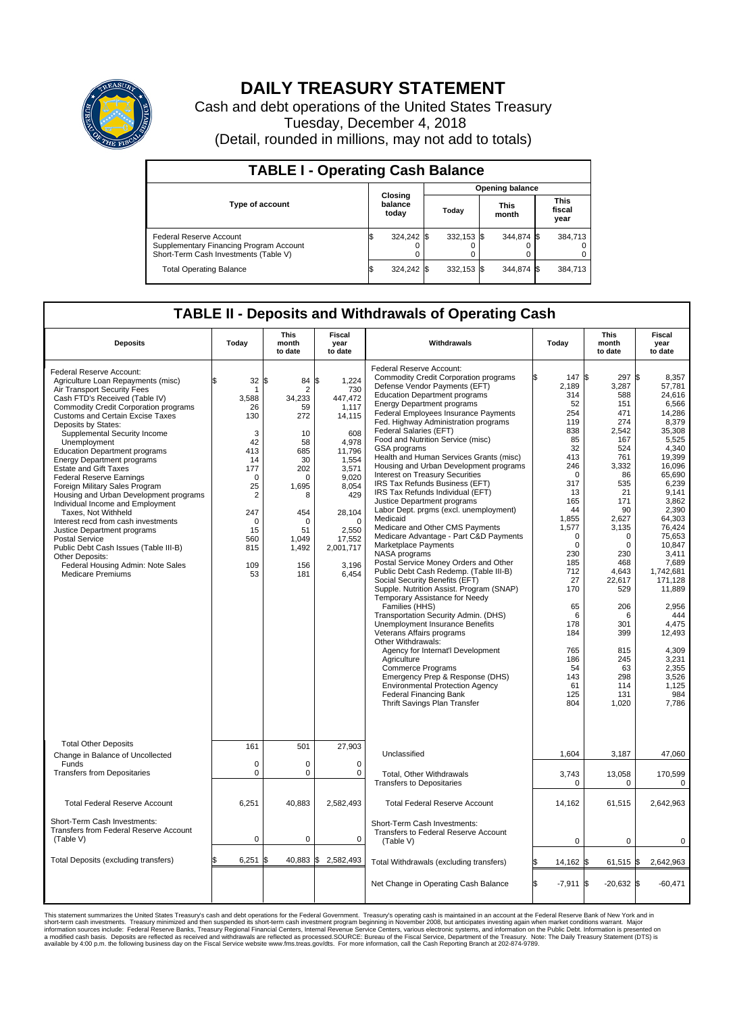

## **DAILY TREASURY STATEMENT**

Cash and debt operations of the United States Treasury Tuesday, December 4, 2018 (Detail, rounded in millions, may not add to totals)

| <b>TABLE I - Operating Cash Balance</b>                                                                     |    |                             |  |                        |  |                      |  |                               |  |  |  |
|-------------------------------------------------------------------------------------------------------------|----|-----------------------------|--|------------------------|--|----------------------|--|-------------------------------|--|--|--|
|                                                                                                             |    |                             |  | <b>Opening balance</b> |  |                      |  |                               |  |  |  |
| <b>Type of account</b>                                                                                      |    | Closing<br>balance<br>today |  | Today                  |  | <b>This</b><br>month |  | <b>This</b><br>fiscal<br>year |  |  |  |
| Federal Reserve Account<br>Supplementary Financing Program Account<br>Short-Term Cash Investments (Table V) |    | 324,242 \$                  |  | $332.153$ \$           |  | 344.874 \$           |  | 384.713                       |  |  |  |
| <b>Total Operating Balance</b>                                                                              | ΙФ | 324,242 \$                  |  | $332.153$ \$           |  | 344,874 \$           |  | 384,713                       |  |  |  |

## **TABLE II - Deposits and Withdrawals of Operating Cash**

| <b>Deposits</b>                                                                                                                                                                                                                                                                                                                                                                                                                                                                                                                                                                                                                                                                                                                                                                                               | Todav                                                                                                                                                    | <b>This</b><br>month<br>to date                                                                                                                         | Fiscal<br>vear<br>to date                                                                                                                                                                     | Withdrawals                                                                                                                                                                                                                                                                                                                                                                                                                                                                                                                                                                                                                                                                                                                                                                                                                                                                                                                                                                                                                                                                                                                                                                                                                                                                                                                                     | Today                                                                                                                                                                                                                                                                    | <b>This</b><br>month<br>to date                                                                                                                                                                                                                                             | <b>Fiscal</b><br>vear<br>to date                                                                                                                                                                                                                                                                                                                |  |  |  |  |  |  |
|---------------------------------------------------------------------------------------------------------------------------------------------------------------------------------------------------------------------------------------------------------------------------------------------------------------------------------------------------------------------------------------------------------------------------------------------------------------------------------------------------------------------------------------------------------------------------------------------------------------------------------------------------------------------------------------------------------------------------------------------------------------------------------------------------------------|----------------------------------------------------------------------------------------------------------------------------------------------------------|---------------------------------------------------------------------------------------------------------------------------------------------------------|-----------------------------------------------------------------------------------------------------------------------------------------------------------------------------------------------|-------------------------------------------------------------------------------------------------------------------------------------------------------------------------------------------------------------------------------------------------------------------------------------------------------------------------------------------------------------------------------------------------------------------------------------------------------------------------------------------------------------------------------------------------------------------------------------------------------------------------------------------------------------------------------------------------------------------------------------------------------------------------------------------------------------------------------------------------------------------------------------------------------------------------------------------------------------------------------------------------------------------------------------------------------------------------------------------------------------------------------------------------------------------------------------------------------------------------------------------------------------------------------------------------------------------------------------------------|--------------------------------------------------------------------------------------------------------------------------------------------------------------------------------------------------------------------------------------------------------------------------|-----------------------------------------------------------------------------------------------------------------------------------------------------------------------------------------------------------------------------------------------------------------------------|-------------------------------------------------------------------------------------------------------------------------------------------------------------------------------------------------------------------------------------------------------------------------------------------------------------------------------------------------|--|--|--|--|--|--|
| Federal Reserve Account:<br>Agriculture Loan Repayments (misc)<br>Air Transport Security Fees<br>Cash FTD's Received (Table IV)<br><b>Commodity Credit Corporation programs</b><br>Customs and Certain Excise Taxes<br>Deposits by States:<br>Supplemental Security Income<br>Unemployment<br><b>Education Department programs</b><br><b>Energy Department programs</b><br><b>Estate and Gift Taxes</b><br><b>Federal Reserve Earnings</b><br>Foreign Military Sales Program<br>Housing and Urban Development programs<br>Individual Income and Employment<br>Taxes. Not Withheld<br>Interest recd from cash investments<br>Justice Department programs<br><b>Postal Service</b><br>Public Debt Cash Issues (Table III-B)<br>Other Deposits:<br>Federal Housing Admin: Note Sales<br><b>Medicare Premiums</b> | 32<br>-1<br>3,588<br>26<br>130<br>3<br>42<br>413<br>14<br>177<br>$\mathbf 0$<br>25<br>$\overline{2}$<br>247<br>$\Omega$<br>15<br>560<br>815<br>109<br>53 | \$<br>84<br>2<br>34,233<br>59<br>272<br>10<br>58<br>685<br>30<br>202<br>$\Omega$<br>1,695<br>8<br>454<br>$\Omega$<br>51<br>1,049<br>1,492<br>156<br>181 | \$<br>1,224<br>730<br>447,472<br>1.117<br>14,115<br>608<br>4,978<br>11,796<br>1,554<br>3,571<br>9,020<br>8,054<br>429<br>28,104<br>$\Omega$<br>2,550<br>17,552<br>2,001,717<br>3,196<br>6,454 | Federal Reserve Account:<br><b>Commodity Credit Corporation programs</b><br>Defense Vendor Payments (EFT)<br><b>Education Department programs</b><br><b>Energy Department programs</b><br>Federal Employees Insurance Payments<br>Fed. Highway Administration programs<br>Federal Salaries (EFT)<br>Food and Nutrition Service (misc)<br>GSA programs<br>Health and Human Services Grants (misc)<br>Housing and Urban Development programs<br>Interest on Treasury Securities<br>IRS Tax Refunds Business (EFT)<br>IRS Tax Refunds Individual (EFT)<br>Justice Department programs<br>Labor Dept. prgms (excl. unemployment)<br>Medicaid<br>Medicare and Other CMS Payments<br>Medicare Advantage - Part C&D Payments<br>Marketplace Payments<br>NASA programs<br>Postal Service Money Orders and Other<br>Public Debt Cash Redemp. (Table III-B)<br>Social Security Benefits (EFT)<br>Supple. Nutrition Assist. Program (SNAP)<br>Temporary Assistance for Needy<br>Families (HHS)<br>Transportation Security Admin. (DHS)<br>Unemployment Insurance Benefits<br>Veterans Affairs programs<br>Other Withdrawals:<br>Agency for Internat'l Development<br>Agriculture<br><b>Commerce Programs</b><br>Emergency Prep & Response (DHS)<br><b>Environmental Protection Agency</b><br><b>Federal Financing Bank</b><br>Thrift Savings Plan Transfer | 147 \$<br>2,189<br>314<br>52<br>254<br>119<br>838<br>85<br>32<br>413<br>246<br>$\Omega$<br>317<br>13<br>165<br>44<br>1,855<br>1,577<br>$\mathbf 0$<br>$\Omega$<br>230<br>185<br>712<br>27<br>170<br>65<br>6<br>178<br>184<br>765<br>186<br>54<br>143<br>61<br>125<br>804 | $297$ \$<br>3,287<br>588<br>151<br>471<br>274<br>2,542<br>167<br>524<br>761<br>3,332<br>86<br>535<br>21<br>171<br>90<br>2,627<br>3,135<br>0<br>$\Omega$<br>230<br>468<br>4.643<br>22,617<br>529<br>206<br>6<br>301<br>399<br>815<br>245<br>63<br>298<br>114<br>131<br>1,020 | 8,357<br>57,781<br>24.616<br>6,566<br>14.286<br>8,379<br>35,308<br>5,525<br>4.340<br>19,399<br>16,096<br>65.690<br>6,239<br>9.141<br>3.862<br>2,390<br>64,303<br>76.424<br>75,653<br>10.847<br>3.411<br>7,689<br>1.742.681<br>171.128<br>11,889<br>2.956<br>444<br>4,475<br>12,493<br>4,309<br>3,231<br>2,355<br>3,526<br>1.125<br>984<br>7,786 |  |  |  |  |  |  |
| <b>Total Other Deposits</b><br>Change in Balance of Uncollected                                                                                                                                                                                                                                                                                                                                                                                                                                                                                                                                                                                                                                                                                                                                               | 161                                                                                                                                                      | 501                                                                                                                                                     | 27,903                                                                                                                                                                                        | Unclassified                                                                                                                                                                                                                                                                                                                                                                                                                                                                                                                                                                                                                                                                                                                                                                                                                                                                                                                                                                                                                                                                                                                                                                                                                                                                                                                                    | 1,604                                                                                                                                                                                                                                                                    | 3,187                                                                                                                                                                                                                                                                       | 47,060                                                                                                                                                                                                                                                                                                                                          |  |  |  |  |  |  |
| Funds<br><b>Transfers from Depositaries</b>                                                                                                                                                                                                                                                                                                                                                                                                                                                                                                                                                                                                                                                                                                                                                                   | $\mathbf 0$<br>$\pmb{0}$                                                                                                                                 | 0<br>0                                                                                                                                                  | $\mathbf 0$<br>0                                                                                                                                                                              | Total, Other Withdrawals<br><b>Transfers to Depositaries</b>                                                                                                                                                                                                                                                                                                                                                                                                                                                                                                                                                                                                                                                                                                                                                                                                                                                                                                                                                                                                                                                                                                                                                                                                                                                                                    | 3,743<br>$\Omega$                                                                                                                                                                                                                                                        | 13,058<br>$\Omega$                                                                                                                                                                                                                                                          | 170,599<br>$\mathbf 0$                                                                                                                                                                                                                                                                                                                          |  |  |  |  |  |  |
| <b>Total Federal Reserve Account</b>                                                                                                                                                                                                                                                                                                                                                                                                                                                                                                                                                                                                                                                                                                                                                                          | 6,251                                                                                                                                                    | 40,883                                                                                                                                                  | 2,582,493                                                                                                                                                                                     | <b>Total Federal Reserve Account</b>                                                                                                                                                                                                                                                                                                                                                                                                                                                                                                                                                                                                                                                                                                                                                                                                                                                                                                                                                                                                                                                                                                                                                                                                                                                                                                            | 14,162                                                                                                                                                                                                                                                                   | 61,515                                                                                                                                                                                                                                                                      | 2,642,963                                                                                                                                                                                                                                                                                                                                       |  |  |  |  |  |  |
| Short-Term Cash Investments:<br>Transfers from Federal Reserve Account<br>(Table V)                                                                                                                                                                                                                                                                                                                                                                                                                                                                                                                                                                                                                                                                                                                           | 0                                                                                                                                                        | 0                                                                                                                                                       | $\mathbf 0$                                                                                                                                                                                   | Short-Term Cash Investments:<br>Transfers to Federal Reserve Account<br>(Table V)                                                                                                                                                                                                                                                                                                                                                                                                                                                                                                                                                                                                                                                                                                                                                                                                                                                                                                                                                                                                                                                                                                                                                                                                                                                               | $\mathbf 0$                                                                                                                                                                                                                                                              | 0                                                                                                                                                                                                                                                                           | 0                                                                                                                                                                                                                                                                                                                                               |  |  |  |  |  |  |
| Total Deposits (excluding transfers)                                                                                                                                                                                                                                                                                                                                                                                                                                                                                                                                                                                                                                                                                                                                                                          | 6,251                                                                                                                                                    | 40,883<br>\$                                                                                                                                            | \$<br>2,582,493                                                                                                                                                                               | Total Withdrawals (excluding transfers)                                                                                                                                                                                                                                                                                                                                                                                                                                                                                                                                                                                                                                                                                                                                                                                                                                                                                                                                                                                                                                                                                                                                                                                                                                                                                                         | 14,162 \$<br>ß.                                                                                                                                                                                                                                                          | $61,515$ \$                                                                                                                                                                                                                                                                 | 2,642,963                                                                                                                                                                                                                                                                                                                                       |  |  |  |  |  |  |
|                                                                                                                                                                                                                                                                                                                                                                                                                                                                                                                                                                                                                                                                                                                                                                                                               |                                                                                                                                                          |                                                                                                                                                         |                                                                                                                                                                                               | Net Change in Operating Cash Balance                                                                                                                                                                                                                                                                                                                                                                                                                                                                                                                                                                                                                                                                                                                                                                                                                                                                                                                                                                                                                                                                                                                                                                                                                                                                                                            | Ŝ.<br>$-7,911$ \$                                                                                                                                                                                                                                                        | $-20,632$ \$                                                                                                                                                                                                                                                                | $-60.471$                                                                                                                                                                                                                                                                                                                                       |  |  |  |  |  |  |

This statement summarizes the United States Treasury's cash and debt operations for the Federal Government. Treasury soperating in November 2008, but anticiarded in a cocount at the Federal Reserve Bank of New York and in<br>